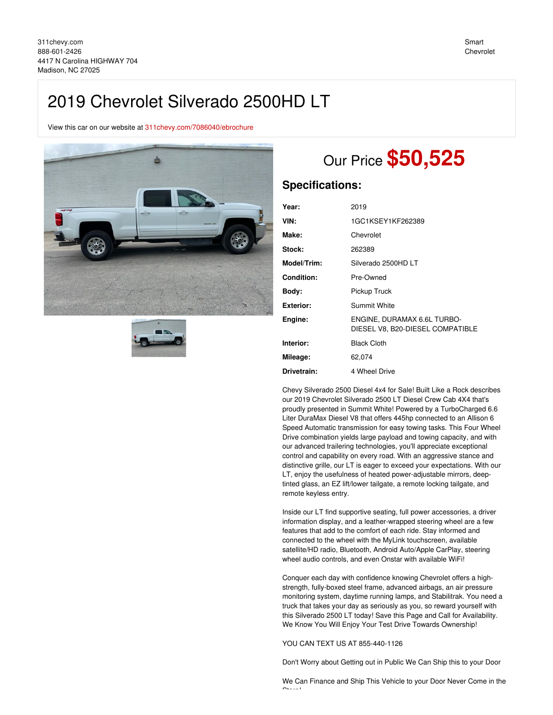## 2019 Chevrolet Silverado 2500HD LT

View this car on our website at [311chevy.com/7086040/ebrochure](https://311chevy.com/vehicle/7086040/2019-chevrolet-silverado-2500hd-lt-madison-nc-27025/7086040/ebrochure)





# Our Price **\$50,525**

### **Specifications:**

| Year:             | 2019                                                            |
|-------------------|-----------------------------------------------------------------|
| VIN:              | 1GC1KSEY1KF262389                                               |
| Make:             | Chevrolet                                                       |
| Stock:            | 262389                                                          |
| Model/Trim:       | Silverado 2500HD LT                                             |
| <b>Condition:</b> | Pre-Owned                                                       |
| Body:             | Pickup Truck                                                    |
| <b>Exterior:</b>  | Summit White                                                    |
| Engine:           | ENGINE, DURAMAX 6.6L TURBO-<br>DIESEL V8, B20-DIESEL COMPATIBLE |
| Interior:         | <b>Black Cloth</b>                                              |
| Mileage:          | 62,074                                                          |
| Drivetrain:       | 4 Wheel Drive                                                   |

Chevy Silverado 2500 Diesel 4x4 for Sale! Built Like a Rock describes our 2019 Chevrolet Silverado 2500 LT Diesel Crew Cab 4X4 that's proudly presented in Summit White! Powered by a TurboCharged 6.6 Liter DuraMax Diesel V8 that offers 445hp connected to an Allison 6 Speed Automatic transmission for easy towing tasks. This Four Wheel Drive combination yields large payload and towing capacity, and with our advanced trailering technologies, you'll appreciate exceptional control and capability on every road. With an aggressive stance and distinctive grille, our LT is eager to exceed your expectations. With our LT, enjoy the usefulness of heated power-adjustable mirrors, deeptinted glass, an EZ lift/lower tailgate, a remote locking tailgate, and remote keyless entry.

Inside our LT find supportive seating, full power accessories, a driver information display, and a leather-wrapped steering wheel are a few features that add to the comfort of each ride. Stay informed and connected to the wheel with the MyLink touchscreen, available satellite/HD radio, Bluetooth, Android Auto/Apple CarPlay, steering wheel audio controls, and even Onstar with available WiFi!

Conquer each day with confidence knowing Chevrolet offers a highstrength, fully-boxed steel frame, advanced airbags, an air pressure monitoring system, daytime running lamps, and Stabilitrak. You need a truck that takes your day as seriously as you, so reward yourself with this Silverado 2500 LT today! Save this Page and Call for Availability. We Know You Will Enjoy Your Test Drive Towards Ownership!

YOU CAN TEXT US AT 855-440-1126

Don't Worry about Getting out in Public We Can Ship this to your Door

We Can Finance and Ship This Vehicle to your Door Never Come in the  $\sim$  .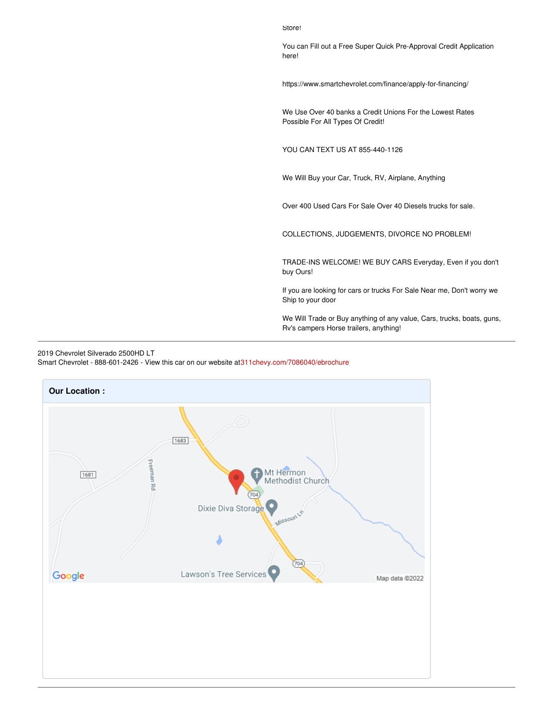Store!

You can Fill out a Free Super Quick Pre-Approval Credit Application here!

https://www.smartchevrolet.com/finance/apply-for-financing/

We Use Over 40 banks a Credit Unions For the Lowest Rates Possible For All Types Of Credit!

YOU CAN TEXT US AT 855-440-1126

We Will Buy your Car, Truck, RV, Airplane, Anything

Over 400 Used Cars For Sale Over 40 Diesels trucks for sale.

COLLECTIONS, JUDGEMENTS, DIVORCE NO PROBLEM!

TRADE-INS WELCOME! WE BUY CARS Everyday, Even if you don't buy Ours!

If you are looking for cars or trucks For Sale Near me, Don't worry we Ship to your door

We Will Trade or Buy anything of any value, Cars, trucks, boats, guns, Rv's campers Horse trailers, anything!



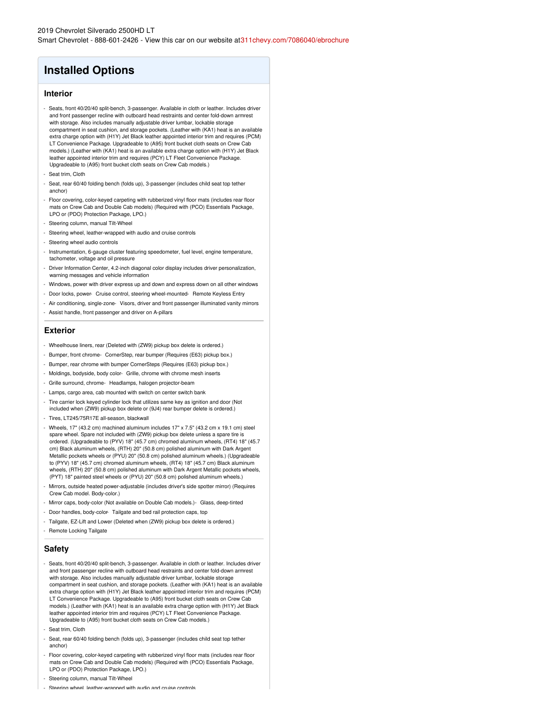### **Installed Options**

#### **Interior**

- Seats, front 40/20/40 split-bench, 3-passenger. Available in cloth or leather. Includes driver and front passenger recline with outboard head restraints and center fold-down armrest with storage. Also includes manually adjustable driver lumbar, lockable storage compartment in seat cushion, and storage pockets. (Leather with (KA1) heat is an available extra charge option with (H1Y) Jet Black leather appointed interior trim and requires (PCM) LT Convenience Package. Upgradeable to (A95) front bucket cloth seats on Crew Cab models.) (Leather with (KA1) heat is an available extra charge option with (H1Y) Jet Black leather appointed interior trim and requires (PCY) LT Fleet Convenience Package. Upgradeable to (A95) front bucket cloth seats on Crew Cab models.)
- Seat trim, Cloth
- Seat, rear 60/40 folding bench (folds up), 3-passenger (includes child seat top tether anchor)
- Floor covering, color-keyed carpeting with rubberized vinyl floor mats (includes rear floor mats on Crew Cab and Double Cab models) (Required with (PCO) Essentials Package, LPO or (PDO) Protection Package, LPO.)
- Steering column, manual Tilt-Wheel
- Steering wheel, leather-wrapped with audio and cruise controls
- Steering wheel audio controls
- Instrumentation, 6-gauge cluster featuring speedometer, fuel level, engine temperature, tachometer, voltage and oil pressure
- Driver Information Center, 4.2-inch diagonal color display includes driver personalization, warning messages and vehicle information
- Windows, power with driver express up and down and express down on all other windows
- Door locks, power- Cruise control, steering wheel-mounted- Remote Keyless Entry
- Air conditioning, single-zone- Visors, driver and front passenger illuminated vanity mirrors
- Assist handle, front passenger and driver on A-pillars

#### **Exterior**

- Wheelhouse liners, rear (Deleted with (ZW9) pickup box delete is ordered.)
- Bumper, front chrome- CornerStep, rear bumper (Requires (E63) pickup box.)
- Bumper, rear chrome with bumper CornerSteps (Requires (E63) pickup box.)
- Moldings, bodyside, body color- Grille, chrome with chrome mesh inserts
- Grille surround, chrome- Headlamps, halogen projector-beam
- Lamps, cargo area, cab mounted with switch on center switch bank
- Tire carrier lock keyed cylinder lock that utilizes same key as ignition and door (Not included when (ZW9) pickup box delete or (9J4) rear bumper delete is ordered.)
- Tires, LT245/75R17E all-season, blackwall
- Wheels, 17" (43.2 cm) machined aluminum includes 17" x 7.5" (43.2 cm x 19.1 cm) steel spare wheel. Spare not included with (ZW9) pickup box delete unless a spare tire is ordered. (Upgradeable to (PYV) 18" (45.7 cm) chromed aluminum wheels, (RT4) 18" (45.7 cm) Black aluminum wheels, (RTH) 20" (50.8 cm) polished aluminum with Dark Argent Metallic pockets wheels or (PYU) 20" (50.8 cm) polished aluminum wheels.) (Upgradeable to (PYV) 18" (45.7 cm) chromed aluminum wheels, (RT4) 18" (45.7 cm) Black aluminum wheels, (RTH) 20" (50.8 cm) polished aluminum with Dark Argent Metallic pockets wheels, (PYT) 18" painted steel wheels or (PYU) 20" (50.8 cm) polished aluminum wheels.)
- Mirrors, outside heated power-adjustable (includes driver's side spotter mirror) (Requires Crew Cab model. Body-color.)
- Mirror caps, body-color (Not available on Double Cab models.)- Glass, deep-tinted
- Door handles, body-color- Tailgate and bed rail protection caps, top
- Tailgate, EZ-Lift and Lower (Deleted when (ZW9) pickup box delete is ordered.)
- Remote Locking Tailgate

#### **Safety**

- Seats, front 40/20/40 split-bench, 3-passenger. Available in cloth or leather. Includes driver and front passenger recline with outboard head restraints and center fold-down armrest with storage. Also includes manually adjustable driver lumbar, lockable storage compartment in seat cushion, and storage pockets. (Leather with (KA1) heat is an available extra charge option with (H1Y) Jet Black leather appointed interior trim and requires (PCM) LT Convenience Package. Upgradeable to (A95) front bucket cloth seats on Crew Cab models.) (Leather with (KA1) heat is an available extra charge option with (H1Y) Jet Black leather appointed interior trim and requires (PCY) LT Fleet Convenience Package. Upgradeable to (A95) front bucket cloth seats on Crew Cab models.)
- Seat trim, Cloth
- Seat, rear 60/40 folding bench (folds up), 3-passenger (includes child seat top tether anchor)
- Floor covering, color-keyed carpeting with rubberized vinyl floor mats (includes rear floor mats on Crew Cab and Double Cab models) (Required with (PCO) Essentials Package, LPO or (PDO) Protection Package, LPO.)
- Steering column, manual Tilt-Wheel
- Steering wheel, leather-wrapped with audio and cruise controls